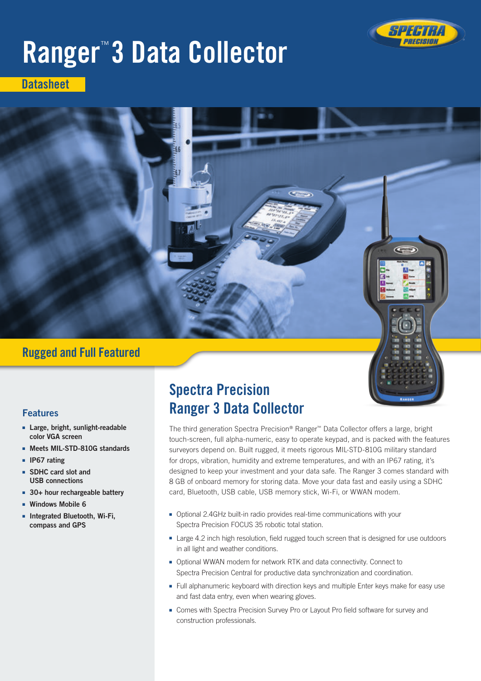

# Ranger™ 3 Data Collector

**Datasheet** 

# Rugged and Full Featured

## Features

- Large, bright, sunlight-readable color VGA screen
- ■■ Meets MIL-STD-810G standards
- ■■ IP67 rating
- SDHC card slot and USB connections
- 30+ hour rechargeable battery
- ■■ Windows Mobile 6
- ■■ Integrated Bluetooth, Wi-Fi, compass and GPS

# Spectra Precision Ranger 3 Data Collector

The third generation Spectra Precision® Ranger™ Data Collector offers a large, bright touch-screen, full alpha-numeric, easy to operate keypad, and is packed with the features surveyors depend on. Built rugged, it meets rigorous MIL-STD-810G military standard for drops, vibration, humidity and extreme temperatures, and with an IP67 rating, it's designed to keep your investment and your data safe. The Ranger 3 comes standard with 8 GB of onboard memory for storing data. Move your data fast and easily using a SDHC card, Bluetooth, USB cable, USB memory stick, Wi-Fi, or WWAN modem.

- Optional 2.4GHz built-in radio provides real-time communications with your Spectra Precision FOCUS 35 robotic total station.
- Large 4.2 inch high resolution, field rugged touch screen that is designed for use outdoors in all light and weather conditions.
- Optional WWAN modem for network RTK and data connectivity. Connect to Spectra Precision Central for productive data synchronization and coordination.
- Full alphanumeric keyboard with direction keys and multiple Enter keys make for easy use and fast data entry, even when wearing gloves.
- Comes with Spectra Precision Survey Pro or Layout Pro field software for survey and construction professionals.